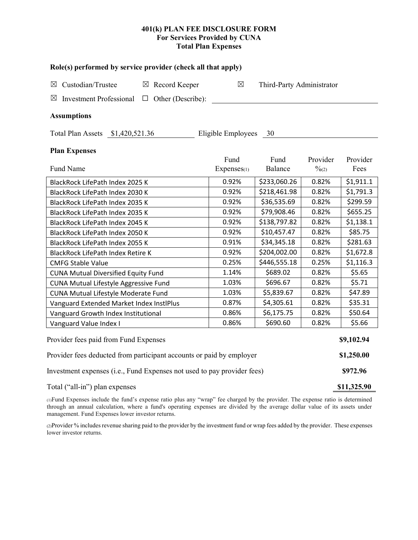# **401(k) PLAN FEE DISCLOSURE FORM For Services Provided by CUNA Total Plan Expenses**

| Role(s) performed by service provider (check all that apply)            |                    |                           |                   |            |  |  |  |  |  |
|-------------------------------------------------------------------------|--------------------|---------------------------|-------------------|------------|--|--|--|--|--|
| Custodian/Trustee<br>$\boxtimes$ Record Keeper<br>⊠                     | $\boxtimes$        | Third-Party Administrator |                   |            |  |  |  |  |  |
| <b>Investment Professional</b><br>Other (Describe):<br>⊠<br>$\Box$      |                    |                           |                   |            |  |  |  |  |  |
| <b>Assumptions</b>                                                      |                    |                           |                   |            |  |  |  |  |  |
| Total Plan Assets \$1,420,521.36                                        | Eligible Employees | - 30                      |                   |            |  |  |  |  |  |
| <b>Plan Expenses</b>                                                    |                    |                           |                   |            |  |  |  |  |  |
|                                                                         | Fund               | Fund                      | Provider          | Provider   |  |  |  |  |  |
| Fund Name                                                               | Expenses(1)        | Balance                   | $\frac{0}{2}$ (2) | Fees       |  |  |  |  |  |
| BlackRock LifePath Index 2025 K                                         | 0.92%              | \$233,060.26              | 0.82%             | \$1,911.1  |  |  |  |  |  |
| BlackRock LifePath Index 2030 K                                         | 0.92%              | \$218,461.98              | 0.82%             | \$1,791.3  |  |  |  |  |  |
| BlackRock LifePath Index 2035 K                                         | 0.92%              | \$36,535.69               | 0.82%             | \$299.59   |  |  |  |  |  |
| BlackRock LifePath Index 2035 K                                         | 0.92%              | \$79,908.46               | 0.82%             | \$655.25   |  |  |  |  |  |
| BlackRock LifePath Index 2045 K                                         | 0.92%              | \$138,797.82              | 0.82%             | \$1,138.1  |  |  |  |  |  |
| BlackRock LifePath Index 2050 K                                         | 0.92%              | \$10,457.47               | 0.82%             | \$85.75    |  |  |  |  |  |
| BlackRock LifePath Index 2055 K                                         | 0.91%              | \$34,345.18               | 0.82%             | \$281.63   |  |  |  |  |  |
| BlackRock LifePath Index Retire K                                       | 0.92%              | \$204,002.00              | 0.82%             | \$1,672.8  |  |  |  |  |  |
| <b>CMFG Stable Value</b>                                                | 0.25%              | \$446,555.18              | 0.25%             | \$1,116.3  |  |  |  |  |  |
| <b>CUNA Mutual Diversified Equity Fund</b>                              | 1.14%              | \$689.02                  | 0.82%             | \$5.65     |  |  |  |  |  |
| <b>CUNA Mutual Lifestyle Aggressive Fund</b>                            | 1.03%              | \$696.67                  | 0.82%             | \$5.71     |  |  |  |  |  |
| CUNA Mutual Lifestyle Moderate Fund                                     | 1.03%              | \$5,839.67                | 0.82%             | \$47.89    |  |  |  |  |  |
| Vanguard Extended Market Index InstlPlus                                | 0.87%              | \$4,305.61                | 0.82%             | \$35.31    |  |  |  |  |  |
| Vanguard Growth Index Institutional                                     | 0.86%              | \$6,175.75                | 0.82%             | \$50.64    |  |  |  |  |  |
| Vanguard Value Index I                                                  | 0.86%              | \$690.60                  | 0.82%             | \$5.66     |  |  |  |  |  |
| Provider fees paid from Fund Expenses                                   |                    |                           |                   | \$9,102.94 |  |  |  |  |  |
| Provider fees deducted from participant accounts or paid by employer    |                    |                           |                   |            |  |  |  |  |  |
| Investment expenses (i.e., Fund Expenses not used to pay provider fees) |                    |                           |                   |            |  |  |  |  |  |

Total ("all-in") plan expenses **\$11,325.90** 

(1)Fund Expenses include the fund's expense ratio plus any "wrap" fee charged by the provider. The expense ratio is determined through an annual calculation, where a fund's operating expenses are divided by the average dollar value of its assets under management. Fund Expenses lower investor returns.

(2)Provider % includes revenue sharing paid to the provider by the investment fund or wrap fees added by the provider. These expenses lower investor returns.